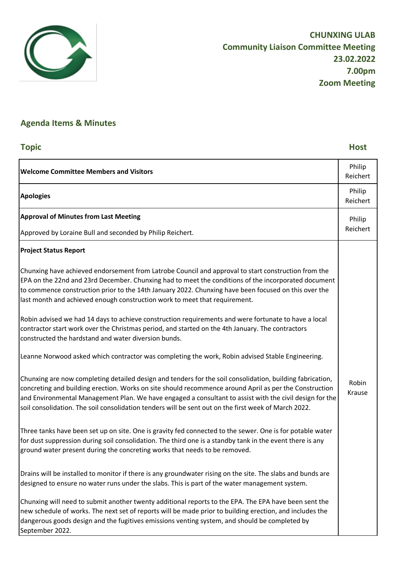

## **Agenda Items & Minutes**

| <b>Topic</b>                                                                                                                                                                                                                                                                                                                                                                                                                           | <b>Host</b>        |
|----------------------------------------------------------------------------------------------------------------------------------------------------------------------------------------------------------------------------------------------------------------------------------------------------------------------------------------------------------------------------------------------------------------------------------------|--------------------|
| <b>Welcome Committee Members and Visitors</b>                                                                                                                                                                                                                                                                                                                                                                                          | Philip<br>Reichert |
| <b>Apologies</b>                                                                                                                                                                                                                                                                                                                                                                                                                       | Philip<br>Reichert |
| <b>Approval of Minutes from Last Meeting</b>                                                                                                                                                                                                                                                                                                                                                                                           | Philip<br>Reichert |
| Approved by Loraine Bull and seconded by Philip Reichert.                                                                                                                                                                                                                                                                                                                                                                              |                    |
| <b>Project Status Report</b>                                                                                                                                                                                                                                                                                                                                                                                                           |                    |
| Chunxing have achieved endorsement from Latrobe Council and approval to start construction from the<br>EPA on the 22nd and 23rd December. Chunxing had to meet the conditions of the incorporated document<br>to commence construction prior to the 14th January 2022. Chunxing have been focused on this over the<br>last month and achieved enough construction work to meet that requirement.                                       |                    |
| Robin advised we had 14 days to achieve construction requirements and were fortunate to have a local<br>contractor start work over the Christmas period, and started on the 4th January. The contractors<br>constructed the hardstand and water diversion bunds.                                                                                                                                                                       |                    |
| Leanne Norwood asked which contractor was completing the work, Robin advised Stable Engineering.                                                                                                                                                                                                                                                                                                                                       |                    |
| Chunxing are now completing detailed design and tenders for the soil consolidation, building fabrication,<br>concreting and building erection. Works on site should recommence around April as per the Construction<br>and Environmental Management Plan. We have engaged a consultant to assist with the civil design for the<br>soil consolidation. The soil consolidation tenders will be sent out on the first week of March 2022. | Robin<br>Krause    |
| Three tanks have been set up on site. One is gravity fed connected to the sewer. One is for potable water<br>for dust suppression during soil consolidation. The third one is a standby tank in the event there is any<br>ground water present during the concreting works that needs to be removed.                                                                                                                                   |                    |
| Drains will be installed to monitor if there is any groundwater rising on the site. The slabs and bunds are<br>designed to ensure no water runs under the slabs. This is part of the water management system.                                                                                                                                                                                                                          |                    |
| Chunxing will need to submit another twenty additional reports to the EPA. The EPA have been sent the<br>new schedule of works. The next set of reports will be made prior to building erection, and includes the<br>dangerous goods design and the fugitives emissions venting system, and should be completed by<br>September 2022.                                                                                                  |                    |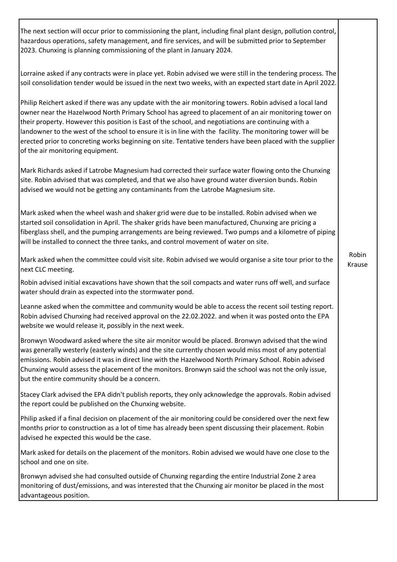The next section will occur prior to commissioning the plant, including final plant design, pollution control, hazardous operations, safety management, and fire services, and will be submitted prior to September 2023. Chunxing is planning commissioning of the plant in January 2024.

Lorraine asked if any contracts were in place yet. Robin advised we were still in the tendering process. The soil consolidation tender would be issued in the next two weeks, with an expected start date in April 2022.

Philip Reichert asked if there was any update with the air monitoring towers. Robin advised a local land owner near the Hazelwood North Primary School has agreed to placement of an air monitoring tower on their property. However this position is East of the school, and negotiations are continuing with a landowner to the west of the school to ensure it is in line with the facility. The monitoring tower will be erected prior to concreting works beginning on site. Tentative tenders have been placed with the supplier of the air monitoring equipment.

Mark Richards asked if Latrobe Magnesium had corrected their surface water flowing onto the Chunxing site. Robin advised that was completed, and that we also have ground water diversion bunds. Robin advised we would not be getting any contaminants from the Latrobe Magnesium site.

Mark asked when the wheel wash and shaker grid were due to be installed. Robin advised when we started soil consolidation in April. The shaker grids have been manufactured, Chunxing are pricing a fiberglass shell, and the pumping arrangements are being reviewed. Two pumps and a kilometre of piping will be installed to connect the three tanks, and control movement of water on site.

Mark asked when the committee could visit site. Robin advised we would organise a site tour prior to the next CLC meeting.

Robin advised initial excavations have shown that the soil compacts and water runs off well, and surface water should drain as expected into the stormwater pond.

Leanne asked when the committee and community would be able to access the recent soil testing report. Robin advised Chunxing had received approval on the 22.02.2022. and when it was posted onto the EPA website we would release it, possibly in the next week.

Bronwyn Woodward asked where the site air monitor would be placed. Bronwyn advised that the wind was generally westerly (easterly winds) and the site currently chosen would miss most of any potential emissions. Robin advised it was in direct line with the Hazelwood North Primary School. Robin advised Chunxing would assess the placement of the monitors. Bronwyn said the school was not the only issue, but the entire community should be a concern.

Stacey Clark advised the EPA didn't publish reports, they only acknowledge the approvals. Robin advised the report could be published on the Chunxing website.

Philip asked if a final decision on placement of the air monitoring could be considered over the next few months prior to construction as a lot of time has already been spent discussing their placement. Robin advised he expected this would be the case.

Mark asked for details on the placement of the monitors. Robin advised we would have one close to the school and one on site.

Bronwyn advised she had consulted outside of Chunxing regarding the entire Industrial Zone 2 area monitoring of dust/emissions, and was interested that the Chunxing air monitor be placed in the most advantageous position.

Robin Krause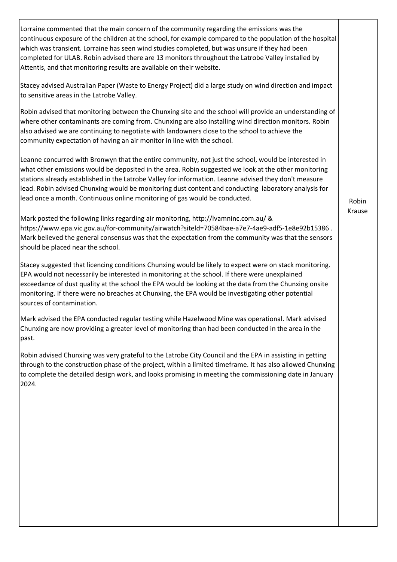Lorraine commented that the main concern of the community regarding the emissions was the continuous exposure of the children at the school, for example compared to the population of the hospital which was transient. Lorraine has seen wind studies completed, but was unsure if they had been completed for ULAB. Robin advised there are 13 monitors throughout the Latrobe Valley installed by Attentis, and that monitoring results are available on their website. Stacey advised Australian Paper (Waste to Energy Project) did a large study on wind direction and impact to sensitive areas in the Latrobe Valley. Robin advised that monitoring between the Chunxing site and the school will provide an understanding of where other contaminants are coming from. Chunxing are also installing wind direction monitors. Robin also advised we are continuing to negotiate with landowners close to the school to achieve the community expectation of having an air monitor in line with the school. Leanne concurred with Bronwyn that the entire community, not just the school, would be interested in what other emissions would be deposited in the area. Robin suggested we look at the other monitoring stations already established in the Latrobe Valley for information. Leanne advised they don't measure lead. Robin advised Chunxing would be monitoring dust content and conducting laboratory analysis for lead once a month. Continuous online monitoring of gas would be conducted. Mark posted the following links regarding air monitoring, http://lvamninc.com.au/ & https://www.epa.vic.gov.au/for-community/airwatch?siteld=70584bae-a7e7-4ae9-adf5-1e8e92b15386 . Mark believed the general consensus was that the expectation from the community was that the sensors should be placed near the school. Stacey suggested that licencing conditions Chunxing would be likely to expect were on stack monitoring. EPA would not necessarily be interested in monitoring at the school. If there were unexplained exceedance of dust quality at the school the EPA would be looking at the data from the Chunxing onsite monitoring. If there were no breaches at Chunxing, the EPA would be investigating other potential sources of contamination. Mark advised the EPA conducted regular testing while Hazelwood Mine was operational. Mark advised Chunxing are now providing a greater level of monitoring than had been conducted in the area in the past. Robin advised Chunxing was very grateful to the Latrobe City Council and the EPA in assisting in getting through to the construction phase of the project, within a limited timeframe. It has also allowed Chunxing to complete the detailed design work, and looks promising in meeting the commissioning date in January 2024. Robin Krause